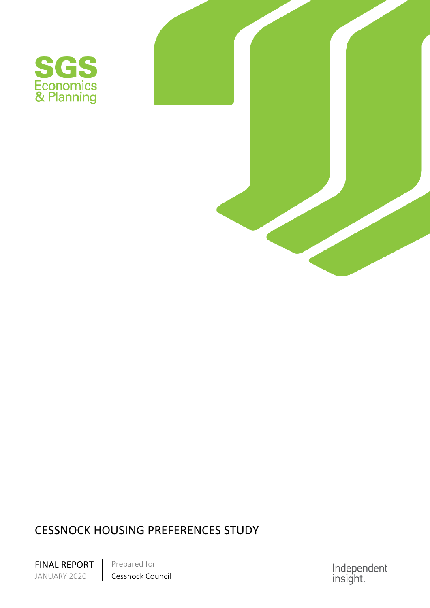



# CESSNOCK HOUSING PREFERENCES STUDY

<span id="page-0-0"></span>FINAL REPORT Prepared for<br>JANUARY 2020 Cessnock Cou Cessnock Council Independent<br>insight.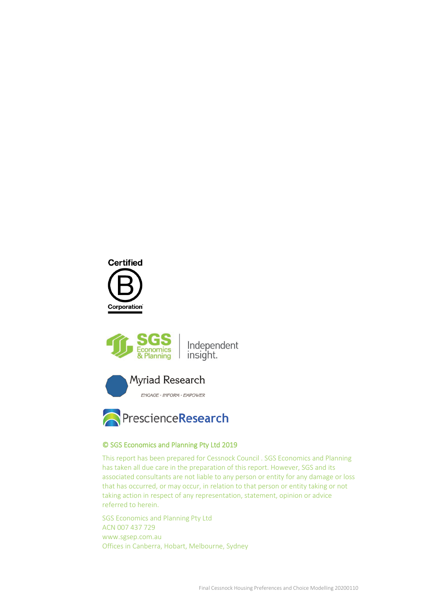







### © SGS Economics and Planning Pty Ltd 2019

This report has been prepared for [Cessnock Council .](#page-0-0) SGS Economics and Planning has taken all due care in the preparation of this report. However, SGS and its associated consultants are not liable to any person or entity for any damage or loss that has occurred, or may occur, in relation to that person or entity taking or not taking action in respect of any representation, statement, opinion or advice referred to herein.

SGS Economics and Planning Pty Ltd ACN 007 437 729 www.sgsep.com.au Offices in Canberra, Hobart, Melbourne, Sydney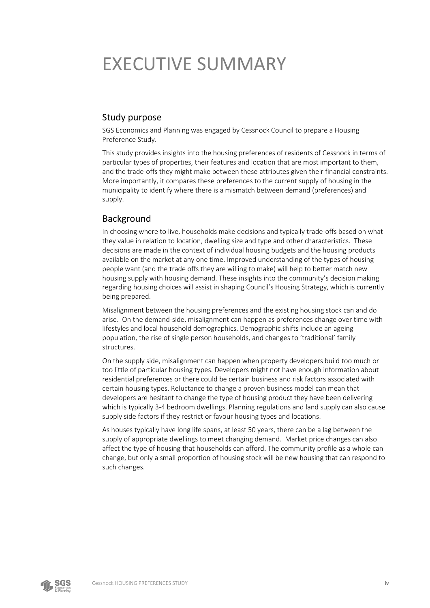# EXECUTIVE SUMMARY

## Study purpose

SGS Economics and Planning was engaged by Cessnock Council to prepare a Housing Preference Study.

This study provides insights into the housing preferences of residents of Cessnock in terms of particular types of properties, their features and location that are most important to them, and the trade-offs they might make between these attributes given their financial constraints. More importantly, it compares these preferences to the current supply of housing in the municipality to identify where there is a mismatch between demand (preferences) and supply.

## Background

In choosing where to live, households make decisions and typically trade-offs based on what they value in relation to location, dwelling size and type and other characteristics. These decisions are made in the context of individual housing budgets and the housing products available on the market at any one time. Improved understanding of the types of housing people want (and the trade offs they are willing to make) will help to better match new housing supply with housing demand. These insights into the community's decision making regarding housing choices will assist in shaping Council's Housing Strategy, which is currently being prepared.

Misalignment between the housing preferences and the existing housing stock can and do arise. On the demand-side, misalignment can happen as preferences change over time with lifestyles and local household demographics. Demographic shifts include an ageing population, the rise of single person households, and changes to 'traditional' family structures.

On the supply side, misalignment can happen when property developers build too much or too little of particular housing types. Developers might not have enough information about residential preferences or there could be certain business and risk factors associated with certain housing types. Reluctance to change a proven business model can mean that developers are hesitant to change the type of housing product they have been delivering which is typically 3-4 bedroom dwellings. Planning regulations and land supply can also cause supply side factors if they restrict or favour housing types and locations.

As houses typically have long life spans, at least 50 years, there can be a lag between the supply of appropriate dwellings to meet changing demand. Market price changes can also affect the type of housing that households can afford. The community profile as a whole can change, but only a small proportion of housing stock will be new housing that can respond to such changes.

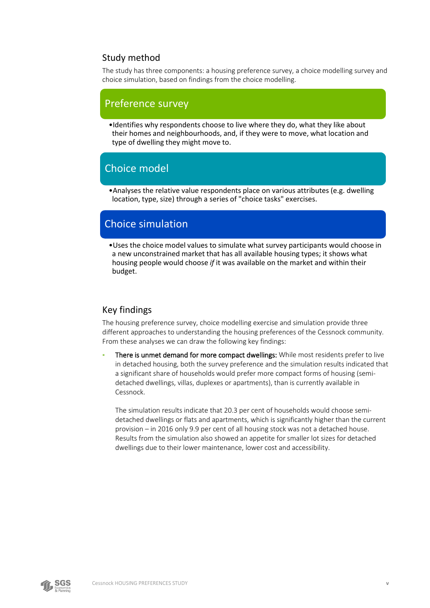## Study method

The study has three components: a housing preference survey, a choice modelling survey and choice simulation, based on findings from the choice modelling.

## Preference survey

•Identifies why respondents choose to live where they do, what they like about their homes and neighbourhoods, and, if they were to move, what location and type of dwelling they might move to.

## Choice model

•Analyses the relative value respondents place on various attributes (e.g. dwelling location, type, size) through a series of "choice tasks" exercises.

## Choice simulation

•Uses the choice model values to simulate what survey participants would choose in a new unconstrained market that has all available housing types; it shows what housing people would choose *if* it was available on the market and within their budget.

## Key findings

The housing preference survey, choice modelling exercise and simulation provide three different approaches to understanding the housing preferences of the Cessnock community. From these analyses we can draw the following key findings:

There is unmet demand for more compact dwellings: While most residents prefer to live in detached housing, both the survey preference and the simulation results indicated that a significant share of households would prefer more compact forms of housing (semidetached dwellings, villas, duplexes or apartments), than is currently available in Cessnock.

The simulation results indicate that 20.3 per cent of households would choose semidetached dwellings or flats and apartments, which is significantly higher than the current provision – in 2016 only 9.9 per cent of all housing stock was not a detached house. Results from the simulation also showed an appetite for smaller lot sizes for detached dwellings due to their lower maintenance, lower cost and accessibility.

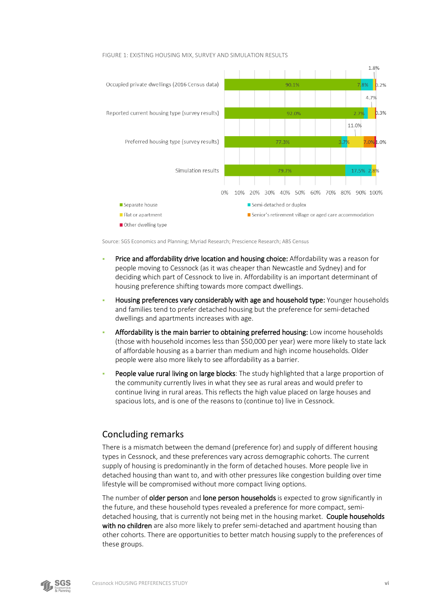

#### FIGURE 1: EXISTING HOUSING MIX, SURVEY AND SIMULATION RESULTS

Source: SGS Economics and Planning; Myriad Research; Prescience Research; ABS Census

- Price and affordability drive location and housing choice: Affordability was a reason for people moving to Cessnock (as it was cheaper than Newcastle and Sydney) and for deciding which part of Cessnock to live in. Affordability is an important determinant of housing preference shifting towards more compact dwellings.
- Housing preferences vary considerably with age and household type: Younger households and families tend to prefer detached housing but the preference for semi-detached dwellings and apartments increases with age.
- Affordability is the main barrier to obtaining preferred housing: Low income households (those with household incomes less than \$50,000 per year) were more likely to state lack of affordable housing as a barrier than medium and high income households. Older people were also more likely to see affordability as a barrier.
- People value rural living on large blocks: The study highlighted that a large proportion of the community currently lives in what they see as rural areas and would prefer to continue living in rural areas. This reflects the high value placed on large houses and spacious lots, and is one of the reasons to (continue to) live in Cessnock.

### Concluding remarks

There is a mismatch between the demand (preference for) and supply of different housing types in Cessnock, and these preferences vary across demographic cohorts. The current supply of housing is predominantly in the form of detached houses. More people live in detached housing than want to, and with other pressures like congestion building over time lifestyle will be compromised without more compact living options.

The number of older person and lone person households is expected to grow significantly in the future, and these household types revealed a preference for more compact, semidetached housing, that is currently not being met in the housing market. Couple households with no children are also more likely to prefer semi-detached and apartment housing than other cohorts. There are opportunities to better match housing supply to the preferences of these groups.

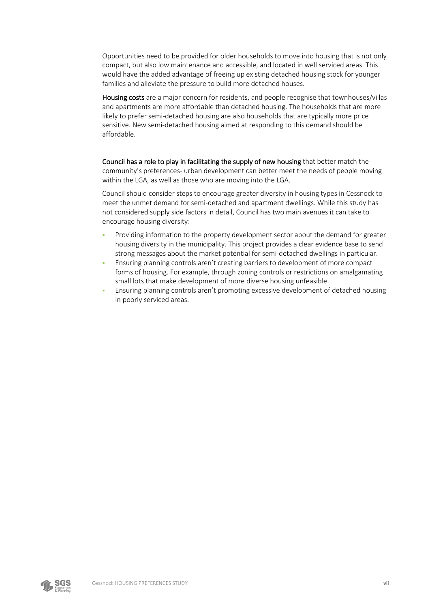Opportunities need to be provided for older households to move into housing that is not only compact, but also low maintenance and accessible, and located in well serviced areas. This would have the added advantage of freeing up existing detached housing stock for younger families and alleviate the pressure to build more detached houses.

Housing costs are a major concern for residents, and people recognise that townhouses/villas and apartments are more affordable than detached housing. The households that are more likely to prefer semi-detached housing are also households that are typically more price sensitive. New semi-detached housing aimed at responding to this demand should be affordable.

Council has a role to play in facilitating the supply of new housing that better match the community's preferences- urban development can better meet the needs of people moving within the LGA, as well as those who are moving into the LGA.

Council should consider steps to encourage greater diversity in housing types in Cessnock to meet the unmet demand for semi-detached and apartment dwellings. While this study has not considered supply side factors in detail, Council has two main avenues it can take to encourage housing diversity:

- Providing information to the property development sector about the demand for greater housing diversity in the municipality. This project provides a clear evidence base to send strong messages about the market potential for semi-detached dwellings in particular.
- Ensuring planning controls aren't creating barriers to development of more compact forms of housing. For example, through zoning controls or restrictions on amalgamating small lots that make development of more diverse housing unfeasible.
- Ensuring planning controls aren't promoting excessive development of detached housing in poorly serviced areas.